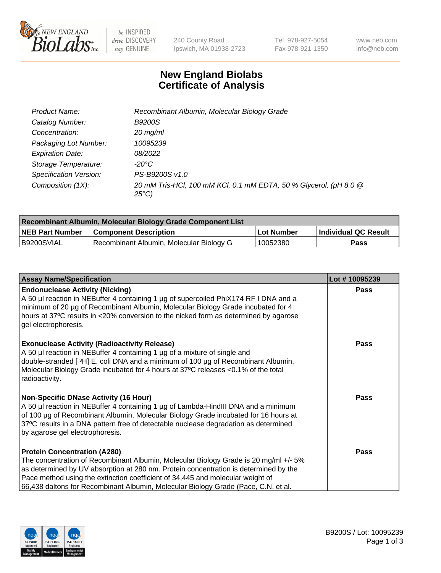

 $be$  INSPIRED drive DISCOVERY stay GENUINE

240 County Road Ipswich, MA 01938-2723 Tel 978-927-5054 Fax 978-921-1350 www.neb.com info@neb.com

## **New England Biolabs Certificate of Analysis**

| Product Name:           | Recombinant Albumin, Molecular Biology Grade                                       |
|-------------------------|------------------------------------------------------------------------------------|
| Catalog Number:         | <b>B9200S</b>                                                                      |
| Concentration:          | $20$ mg/ml                                                                         |
| Packaging Lot Number:   | 10095239                                                                           |
| <b>Expiration Date:</b> | 08/2022                                                                            |
| Storage Temperature:    | -20°C                                                                              |
| Specification Version:  | PS-B9200S v1.0                                                                     |
| Composition (1X):       | 20 mM Tris-HCl, 100 mM KCl, 0.1 mM EDTA, 50 % Glycerol, (pH 8.0 @<br>$25^{\circ}C$ |

| Recombinant Albumin, Molecular Biology Grade Component List |                                          |            |                      |  |
|-------------------------------------------------------------|------------------------------------------|------------|----------------------|--|
| <b>NEB Part Number</b>                                      | <b>Component Description</b>             | Lot Number | Individual QC Result |  |
| B9200SVIAL                                                  | Recombinant Albumin, Molecular Biology G | 10052380   | Pass                 |  |

| <b>Assay Name/Specification</b>                                                                                                                                                                                                                                                                                                                                                             | Lot #10095239 |
|---------------------------------------------------------------------------------------------------------------------------------------------------------------------------------------------------------------------------------------------------------------------------------------------------------------------------------------------------------------------------------------------|---------------|
| <b>Endonuclease Activity (Nicking)</b><br>A 50 µl reaction in NEBuffer 4 containing 1 µg of supercoiled PhiX174 RF I DNA and a<br>minimum of 20 µg of Recombinant Albumin, Molecular Biology Grade incubated for 4<br>hours at 37°C results in <20% conversion to the nicked form as determined by agarose<br>gel electrophoresis.                                                          | <b>Pass</b>   |
| <b>Exonuclease Activity (Radioactivity Release)</b><br>A 50 µl reaction in NEBuffer 4 containing 1 µg of a mixture of single and<br>double-stranded [3H] E. coli DNA and a minimum of 100 μg of Recombinant Albumin,<br>Molecular Biology Grade incubated for 4 hours at 37°C releases <0.1% of the total<br>radioactivity.                                                                 | Pass          |
| Non-Specific DNase Activity (16 Hour)<br>A 50 µl reaction in NEBuffer 4 containing 1 µg of Lambda-HindIII DNA and a minimum<br>of 100 µg of Recombinant Albumin, Molecular Biology Grade incubated for 16 hours at<br>37°C results in a DNA pattern free of detectable nuclease degradation as determined<br>by agarose gel electrophoresis.                                                | Pass          |
| <b>Protein Concentration (A280)</b><br>The concentration of Recombinant Albumin, Molecular Biology Grade is 20 mg/ml +/- 5%<br>as determined by UV absorption at 280 nm. Protein concentration is determined by the<br>Pace method using the extinction coefficient of 34,445 and molecular weight of<br>66,438 daltons for Recombinant Albumin, Molecular Biology Grade (Pace, C.N. et al. | Pass          |

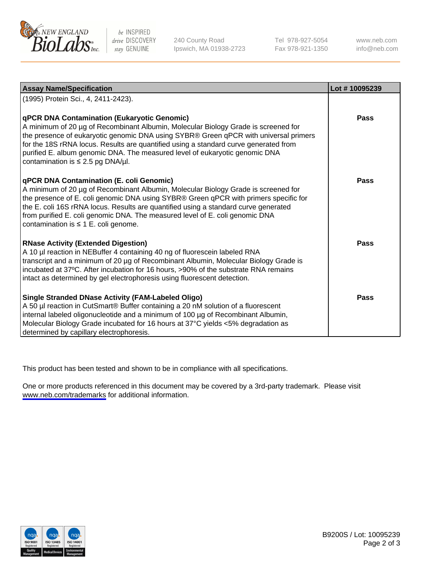

be INSPIRED drive DISCOVERY stay GENUINE

240 County Road Ipswich, MA 01938-2723 Tel 978-927-5054 Fax 978-921-1350

www.neb.com info@neb.com

| <b>Assay Name/Specification</b>                                                                                                                                                                                                                                                                                                                                                                                                                   | Lot #10095239 |
|---------------------------------------------------------------------------------------------------------------------------------------------------------------------------------------------------------------------------------------------------------------------------------------------------------------------------------------------------------------------------------------------------------------------------------------------------|---------------|
| (1995) Protein Sci., 4, 2411-2423).                                                                                                                                                                                                                                                                                                                                                                                                               |               |
| <b>qPCR DNA Contamination (Eukaryotic Genomic)</b><br>A minimum of 20 µg of Recombinant Albumin, Molecular Biology Grade is screened for<br>the presence of eukaryotic genomic DNA using SYBR® Green qPCR with universal primers<br>for the 18S rRNA locus. Results are quantified using a standard curve generated from<br>purified E. album genomic DNA. The measured level of eukaryotic genomic DNA<br>contamination is $\leq 2.5$ pg DNA/µl. | <b>Pass</b>   |
| <b>qPCR DNA Contamination (E. coli Genomic)</b><br>A minimum of 20 µg of Recombinant Albumin, Molecular Biology Grade is screened for<br>the presence of E. coli genomic DNA using SYBR® Green qPCR with primers specific for<br>the E. coli 16S rRNA locus. Results are quantified using a standard curve generated<br>from purified E. coli genomic DNA. The measured level of E. coli genomic DNA<br>contamination is $\leq 1$ E. coli genome. | Pass          |
| <b>RNase Activity (Extended Digestion)</b><br>A 10 µl reaction in NEBuffer 4 containing 40 ng of fluorescein labeled RNA<br>transcript and a minimum of 20 µg of Recombinant Albumin, Molecular Biology Grade is<br>incubated at 37°C. After incubation for 16 hours, >90% of the substrate RNA remains<br>intact as determined by gel electrophoresis using fluorescent detection.                                                               | Pass          |
| Single Stranded DNase Activity (FAM-Labeled Oligo)<br>A 50 µl reaction in CutSmart® Buffer containing a 20 nM solution of a fluorescent<br>internal labeled oligonucleotide and a minimum of 100 µg of Recombinant Albumin,<br>Molecular Biology Grade incubated for 16 hours at 37°C yields <5% degradation as<br>determined by capillary electrophoresis.                                                                                       | <b>Pass</b>   |

This product has been tested and shown to be in compliance with all specifications.

One or more products referenced in this document may be covered by a 3rd-party trademark. Please visit <www.neb.com/trademarks>for additional information.